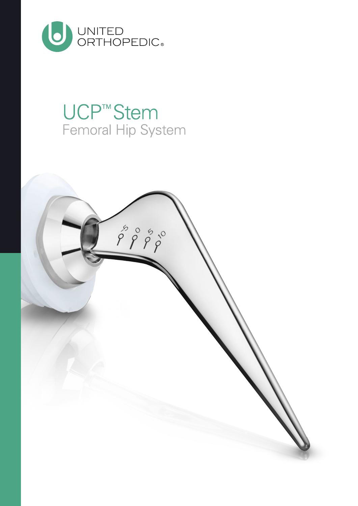

## **UCP™Stem** Femoral Hip System

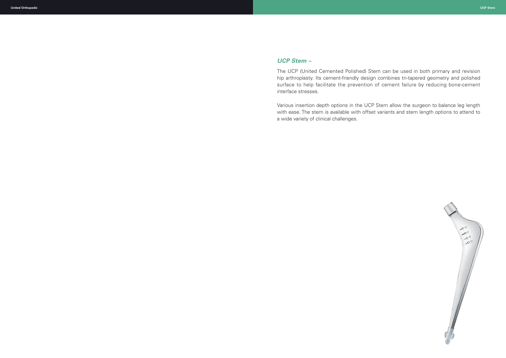## *UCP Stem –*

The UCP (United Cemented Polished) Stem can be used in both primary and revision hip arthroplasty. Its cement-friendly design combines tri-tapered geometry and polished surface to help facilitate the prevention of cement failure by reducing bone-cement interface stresses.

Various insertion depth options in the UCP Stem allow the surgeon to balance leg length with ease. The stem is available with offset variants and stem length options to attend to a wide variety of clinical challenges.

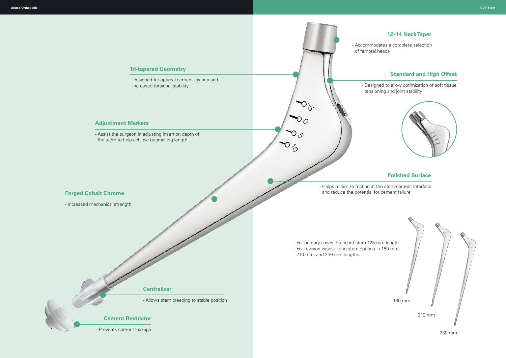### **12/14 Neck Taper**



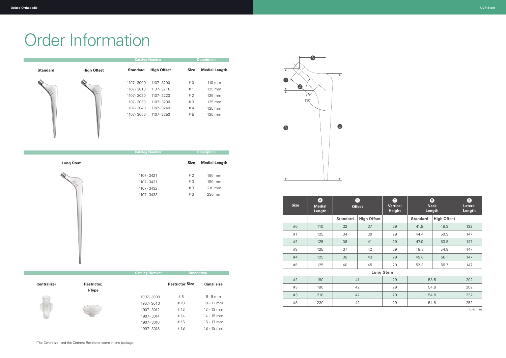| <b>Size</b>      | A<br><b>Medial</b><br>Length | B<br><b>Offset</b> |                    | $\mathbf{G}$<br><b>Vertical</b><br><b>Height</b> | $\mathbf{D}$<br><b>Neck</b><br>Length |                    | e<br><b>Lateral</b><br>Length |
|------------------|------------------------------|--------------------|--------------------|--------------------------------------------------|---------------------------------------|--------------------|-------------------------------|
|                  |                              | <b>Standard</b>    | <b>High Offset</b> |                                                  | <b>Standard</b>                       | <b>High Offset</b> |                               |
| #0               | 110                          | 32                 | 37                 | 29                                               | 41.8                                  | 48.3               | 132                           |
| #1               | 125                          | 34                 | 39                 | 29                                               | 44.4                                  | 50.9               | 147                           |
| #2               | 125                          | 36                 | 41                 | 29                                               | 47.0                                  | 53.5               | 147                           |
| #3               | 125                          | 37                 | 42                 | 29                                               | 48.3                                  | 54.8               | 147                           |
| #4               | 125                          | 38                 | 43                 | 29                                               | 49.6                                  | 56.1               | 147                           |
| #5               | 125                          | 40                 | 45                 | 29                                               | 52.2                                  | 58.7               | 147                           |
| <b>Long Stem</b> |                              |                    |                    |                                                  |                                       |                    |                               |
| #2               | 180                          | 41                 |                    | 29                                               | 53.5                                  |                    | 202                           |
| #3               | 180                          | 42                 |                    | 29                                               | 54.8                                  |                    | 202                           |
| #3               | 210                          | 42                 |                    | 29                                               | 54.8                                  |                    | 232                           |
| #3               | 230                          | 42                 |                    | 29                                               | 54.8                                  |                    | 252                           |

Unit: mm

# Order Information



|                 |                    | <b>Catalog Number</b> |                    |      | <b>Description</b>   |  |
|-----------------|--------------------|-----------------------|--------------------|------|----------------------|--|
| <b>Standard</b> | <b>High Offset</b> | <b>Standard</b>       | <b>High Offset</b> | Size | <b>Medial Length</b> |  |
|                 |                    | 1107 - 3000           | 1107 - 3200        | #0   | 110 mm               |  |
|                 |                    | 1107 - 3010           | 1107 - 3210        | #1   | 125 mm               |  |
|                 |                    | 1107 - 3020           | 1107 - 3220        | #2   | 125 mm               |  |
|                 |                    | 1107 - 3030           | 1107 - 3230        | #3   | 125 mm               |  |
|                 |                    | 1107 - 3040           | 1107 - 3240        | #4   | 125 mm               |  |
|                 |                    | 1107 - 3050           | 1107 - 3250        | # 5  | 125 mm               |  |
|                 |                    |                       |                    |      |                      |  |
|                 |                    |                       |                    |      |                      |  |
|                 |                    |                       |                    |      |                      |  |

|                  | <b>Catalog Number</b> |             | Description          |  |
|------------------|-----------------------|-------------|----------------------|--|
| <b>Long Stem</b> |                       | <b>Size</b> | <b>Medial Length</b> |  |
|                  | 1107 - 3421           | #2          | 180 mm               |  |
|                  | 1107 - 3431           | #3          | 180 mm               |  |
|                  | 1107 - 3432           | #3          | 210 mm               |  |
|                  | 1107 - 3433           | #3          | 230 mm               |  |
|                  |                       |             |                      |  |

| $\bullet$<br>Vertical | D)<br><b>Neck</b>         |                            |     |  |
|-----------------------|---------------------------|----------------------------|-----|--|
| Height                | Length<br><b>Standard</b> | Length                     |     |  |
| 29                    | 41.8                      | <b>High Offset</b><br>48.3 | 132 |  |
| 29                    | 44.4                      | 50.9                       | 147 |  |
| 29                    | 47.0                      | 53.5                       | 147 |  |
| 29                    | 48.3                      | 54.8                       | 147 |  |
| 29                    | 49.6                      | 56.1                       | 147 |  |
| 29                    | 52.2                      | 58.7                       | 147 |  |
| m                     |                           |                            |     |  |
| റവ                    | こつ に                      | າ∩າ                        |     |  |

|                    |                       | <b>Catalog Number</b> | <b>Description</b>     |                   |
|--------------------|-----------------------|-----------------------|------------------------|-------------------|
| <b>Centralizer</b> | Restrictor,<br>I-Type |                       | <b>Restrictor Size</b> | <b>Canal size</b> |
|                    |                       | 1907-3008             | # 8                    | $8 - 9$ mm        |
|                    |                       | 1907-3010             | # 10                   | $10 - 11$ mm      |
|                    |                       | 1907 - 3012           | # 12                   | $12 - 13$ mm      |
|                    |                       | 1907 - 3014           | # 14                   | $14 - 15$ mm      |
|                    |                       | 1907 - 3016           | #16                    | $16 - 17$ mm      |
|                    |                       | 1907-3018             | #18                    | 18 - 19 mm        |